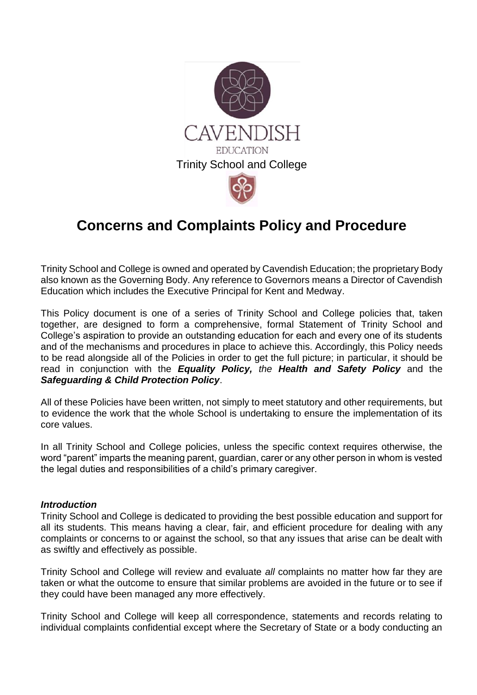

# **Concerns and Complaints Policy and Procedure**

Trinity School and College is owned and operated by Cavendish Education; the proprietary Body also known as the Governing Body. Any reference to Governors means a Director of Cavendish Education which includes the Executive Principal for Kent and Medway.

This Policy document is one of a series of Trinity School and College policies that, taken together, are designed to form a comprehensive, formal Statement of Trinity School and College's aspiration to provide an outstanding education for each and every one of its students and of the mechanisms and procedures in place to achieve this. Accordingly, this Policy needs to be read alongside all of the Policies in order to get the full picture; in particular, it should be read in conjunction with the *Equality Policy, the Health and Safety Policy* and the *Safeguarding & Child Protection Policy*.

All of these Policies have been written, not simply to meet statutory and other requirements, but to evidence the work that the whole School is undertaking to ensure the implementation of its core values.

In all Trinity School and College policies, unless the specific context requires otherwise, the word "parent" imparts the meaning parent, guardian, carer or any other person in whom is vested the legal duties and responsibilities of a child's primary caregiver.

## *Introduction*

Trinity School and College is dedicated to providing the best possible education and support for all its students. This means having a clear, fair, and efficient procedure for dealing with any complaints or concerns to or against the school, so that any issues that arise can be dealt with as swiftly and effectively as possible.

Trinity School and College will review and evaluate *all* complaints no matter how far they are taken or what the outcome to ensure that similar problems are avoided in the future or to see if they could have been managed any more effectively.

Trinity School and College will keep all correspondence, statements and records relating to individual complaints confidential except where the Secretary of State or a body conducting an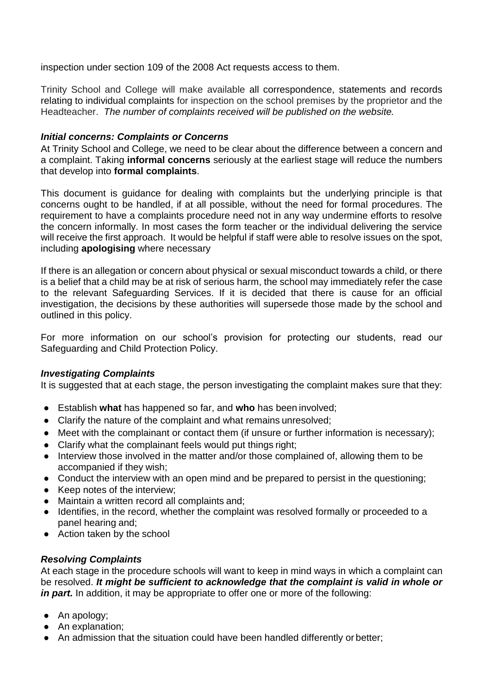inspection under section 109 of the 2008 Act requests access to them.

Trinity School and College will make available all correspondence, statements and records relating to individual complaints for inspection on the school premises by the proprietor and the Headteacher. *The number of complaints received will be published on the website.*

## *Initial concerns: Complaints or Concerns*

At Trinity School and College, we need to be clear about the difference between a concern and a complaint. Taking **informal concerns** seriously at the earliest stage will reduce the numbers that develop into **formal complaints**.

This document is guidance for dealing with complaints but the underlying principle is that concerns ought to be handled, if at all possible, without the need for formal procedures. The requirement to have a complaints procedure need not in any way undermine efforts to resolve the concern informally. In most cases the form teacher or the individual delivering the service will receive the first approach. It would be helpful if staff were able to resolve issues on the spot, including **apologising** where necessary

If there is an allegation or concern about physical or sexual misconduct towards a child, or there is a belief that a child may be at risk of serious harm, the school may immediately refer the case to the relevant Safeguarding Services. If it is decided that there is cause for an official investigation, the decisions by these authorities will supersede those made by the school and outlined in this policy.

For more information on our school's provision for protecting our students, read our Safeguarding and Child Protection Policy.

## *Investigating Complaints*

It is suggested that at each stage, the person investigating the complaint makes sure that they:

- Establish **what** has happened so far, and **who** has been involved;
- Clarify the nature of the complaint and what remains unresolved;
- Meet with the complainant or contact them (if unsure or further information is necessary);
- Clarify what the complainant feels would put things right;
- Interview those involved in the matter and/or those complained of, allowing them to be accompanied if they wish;
- Conduct the interview with an open mind and be prepared to persist in the questioning;
- Keep notes of the interview;
- Maintain a written record all complaints and;
- Identifies, in the record, whether the complaint was resolved formally or proceeded to a panel hearing and;
- Action taken by the school

# *Resolving Complaints*

At each stage in the procedure schools will want to keep in mind ways in which a complaint can be resolved. *It might be sufficient to acknowledge that the complaint is valid in whole or*  in part. In addition, it may be appropriate to offer one or more of the following:

- An apology;
- An explanation;
- An admission that the situation could have been handled differently or better;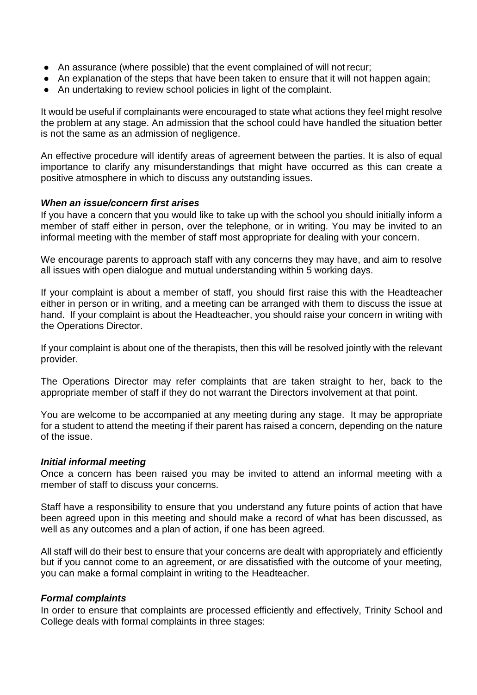- An assurance (where possible) that the event complained of will not recur;
- An explanation of the steps that have been taken to ensure that it will not happen again;
- An undertaking to review school policies in light of the complaint.

It would be useful if complainants were encouraged to state what actions they feel might resolve the problem at any stage. An admission that the school could have handled the situation better is not the same as an admission of negligence.

An effective procedure will identify areas of agreement between the parties. It is also of equal importance to clarify any misunderstandings that might have occurred as this can create a positive atmosphere in which to discuss any outstanding issues.

## *When an issue/concern first arises*

If you have a concern that you would like to take up with the school you should initially inform a member of staff either in person, over the telephone, or in writing. You may be invited to an informal meeting with the member of staff most appropriate for dealing with your concern.

We encourage parents to approach staff with any concerns they may have, and aim to resolve all issues with open dialogue and mutual understanding within 5 working days.

If your complaint is about a member of staff, you should first raise this with the Headteacher either in person or in writing, and a meeting can be arranged with them to discuss the issue at hand. If your complaint is about the Headteacher, you should raise your concern in writing with the Operations Director.

If your complaint is about one of the therapists, then this will be resolved jointly with the relevant provider.

The Operations Director may refer complaints that are taken straight to her, back to the appropriate member of staff if they do not warrant the Directors involvement at that point.

You are welcome to be accompanied at any meeting during any stage. It may be appropriate for a student to attend the meeting if their parent has raised a concern, depending on the nature of the issue.

## *Initial informal meeting*

Once a concern has been raised you may be invited to attend an informal meeting with a member of staff to discuss your concerns.

Staff have a responsibility to ensure that you understand any future points of action that have been agreed upon in this meeting and should make a record of what has been discussed, as well as any outcomes and a plan of action, if one has been agreed.

All staff will do their best to ensure that your concerns are dealt with appropriately and efficiently but if you cannot come to an agreement, or are dissatisfied with the outcome of your meeting, you can make a formal complaint in writing to the Headteacher.

## *Formal complaints*

In order to ensure that complaints are processed efficiently and effectively, Trinity School and College deals with formal complaints in three stages: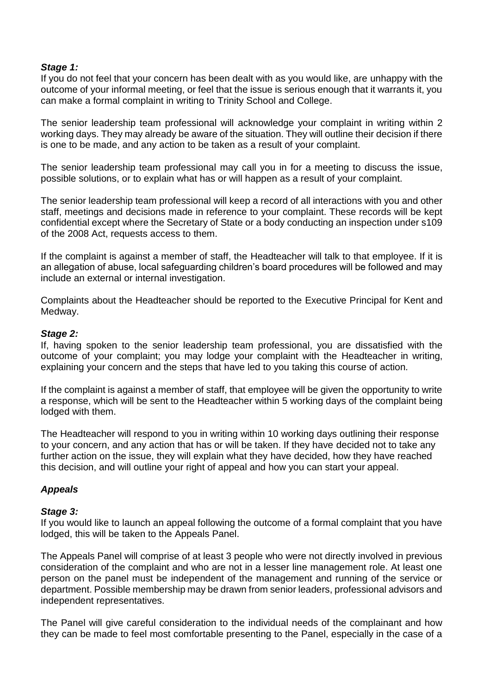## *Stage 1:*

If you do not feel that your concern has been dealt with as you would like, are unhappy with the outcome of your informal meeting, or feel that the issue is serious enough that it warrants it, you can make a formal complaint in writing to Trinity School and College.

The senior leadership team professional will acknowledge your complaint in writing within 2 working days. They may already be aware of the situation. They will outline their decision if there is one to be made, and any action to be taken as a result of your complaint.

The senior leadership team professional may call you in for a meeting to discuss the issue, possible solutions, or to explain what has or will happen as a result of your complaint.

The senior leadership team professional will keep a record of all interactions with you and other staff, meetings and decisions made in reference to your complaint. These records will be kept confidential except where the Secretary of State or a body conducting an inspection under s109 of the 2008 Act, requests access to them.

If the complaint is against a member of staff, the Headteacher will talk to that employee. If it is an allegation of abuse, local safeguarding children's board procedures will be followed and may include an external or internal investigation.

Complaints about the Headteacher should be reported to the Executive Principal for Kent and Medway.

## *Stage 2:*

If, having spoken to the senior leadership team professional, you are dissatisfied with the outcome of your complaint; you may lodge your complaint with the Headteacher in writing, explaining your concern and the steps that have led to you taking this course of action*.*

If the complaint is against a member of staff, that employee will be given the opportunity to write a response, which will be sent to the Headteacher within 5 working days of the complaint being lodged with them.

The Headteacher will respond to you in writing within 10 working days outlining their response to your concern, and any action that has or will be taken. If they have decided not to take any further action on the issue, they will explain what they have decided, how they have reached this decision, and will outline your right of appeal and how you can start your appeal.

# *Appeals*

## *Stage 3:*

If you would like to launch an appeal following the outcome of a formal complaint that you have lodged, this will be taken to the Appeals Panel.

The Appeals Panel will comprise of at least 3 people who were not directly involved in previous consideration of the complaint and who are not in a lesser line management role. At least one person on the panel must be independent of the management and running of the service or department. Possible membership may be drawn from senior leaders, professional advisors and independent representatives.

The Panel will give careful consideration to the individual needs of the complainant and how they can be made to feel most comfortable presenting to the Panel, especially in the case of a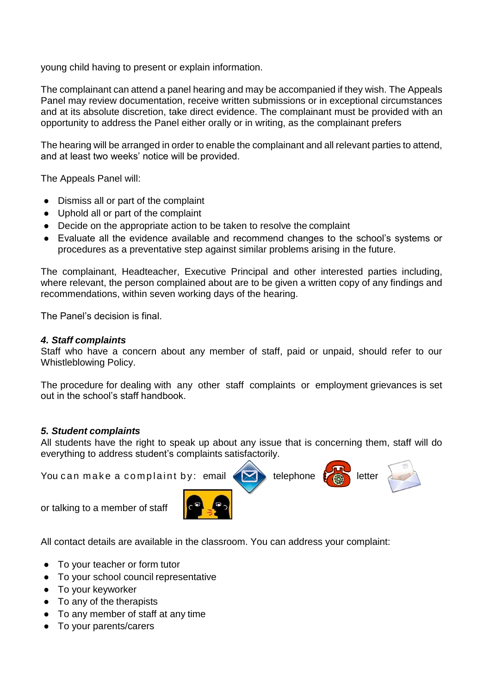young child having to present or explain information.

The complainant can attend a panel hearing and may be accompanied if they wish. The Appeals Panel may review documentation, receive written submissions or in exceptional circumstances and at its absolute discretion, take direct evidence. The complainant must be provided with an opportunity to address the Panel either orally or in writing, as the complainant prefers

The hearing will be arranged in order to enable the complainant and all relevant parties to attend, and at least two weeks' notice will be provided.

The Appeals Panel will:

- Dismiss all or part of the complaint
- Uphold all or part of the complaint
- Decide on the appropriate action to be taken to resolve the complaint
- Evaluate all the evidence available and recommend changes to the school's systems or procedures as a preventative step against similar problems arising in the future.

The complainant, Headteacher, Executive Principal and other interested parties including, where relevant, the person complained about are to be given a written copy of any findings and recommendations, within seven working days of the hearing.

The Panel's decision is final.

# *4. Staff complaints*

Staff who have a concern about any member of staff, paid or unpaid, should refer to our Whistleblowing Policy.

The procedure for dealing with any other staff complaints or employment grievances is set out in the school's staff handbook.

# *5. Student complaints*

All students have the right to speak up about any issue that is concerning them, staff will do everything to address student's complaints satisfactorily.

You can make a complaint by: email  $\left\langle \bigotimes \right\rangle$  telephone  $\left\langle \bigotimes \right\rangle$  letter

or talking to a member of staff

All contact details are available in the classroom. You can address your complaint:

- To your teacher or form tutor
- To your school council representative
- To your keyworker
- To any of the therapists
- To any member of staff at any time
- To your parents/carers